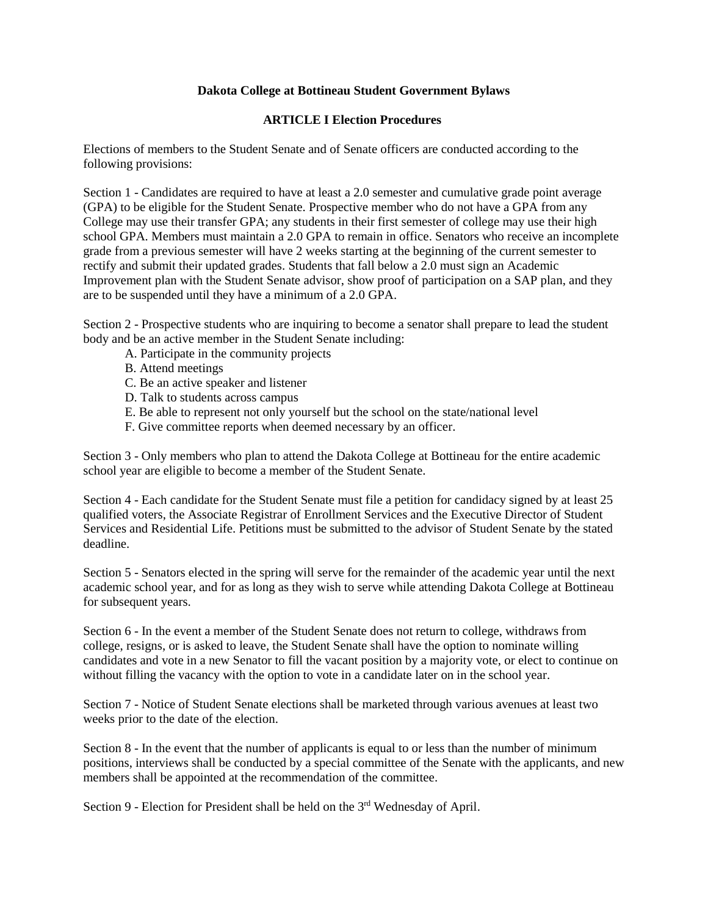## **Dakota College at Bottineau Student Government Bylaws**

## **ARTICLE I Election Procedures**

Elections of members to the Student Senate and of Senate officers are conducted according to the following provisions:

 rectify and submit their updated grades. Students that fall below a 2.0 must sign an Academic Section 1 - Candidates are required to have at least a 2.0 semester and cumulative grade point average (GPA) to be eligible for the Student Senate. Prospective member who do not have a GPA from any College may use their transfer GPA; any students in their first semester of college may use their high school GPA. Members must maintain a 2.0 GPA to remain in office. Senators who receive an incomplete grade from a previous semester will have 2 weeks starting at the beginning of the current semester to Improvement plan with the Student Senate advisor, show proof of participation on a SAP plan, and they are to be suspended until they have a minimum of a 2.0 GPA.

Section 2 - Prospective students who are inquiring to become a senator shall prepare to lead the student body and be an active member in the Student Senate including:

- A. Participate in the community projects
- B. Attend meetings
- C. Be an active speaker and listener
- D. Talk to students across campus
- E. Be able to represent not only yourself but the school on the state/national level
- F. Give committee reports when deemed necessary by an officer.

Section 3 - Only members who plan to attend the Dakota College at Bottineau for the entire academic school year are eligible to become a member of the Student Senate.

Section 4 - Each candidate for the Student Senate must file a petition for candidacy signed by at least 25 qualified voters, the Associate Registrar of Enrollment Services and the Executive Director of Student Services and Residential Life. Petitions must be submitted to the advisor of Student Senate by the stated deadline.

 Section 5 - Senators elected in the spring will serve for the remainder of the academic year until the next academic school year, and for as long as they wish to serve while attending Dakota College at Bottineau for subsequent years.

Section 6 - In the event a member of the Student Senate does not return to college, withdraws from college, resigns, or is asked to leave, the Student Senate shall have the option to nominate willing candidates and vote in a new Senator to fill the vacant position by a majority vote, or elect to continue on without filling the vacancy with the option to vote in a candidate later on in the school year.

Section 7 - Notice of Student Senate elections shall be marketed through various avenues at least two weeks prior to the date of the election.

 positions, interviews shall be conducted by a special committee of the Senate with the applicants, and new Section 8 - In the event that the number of applicants is equal to or less than the number of minimum members shall be appointed at the recommendation of the committee.

Section 9 - Election for President shall be held on the 3<sup>rd</sup> Wednesday of April.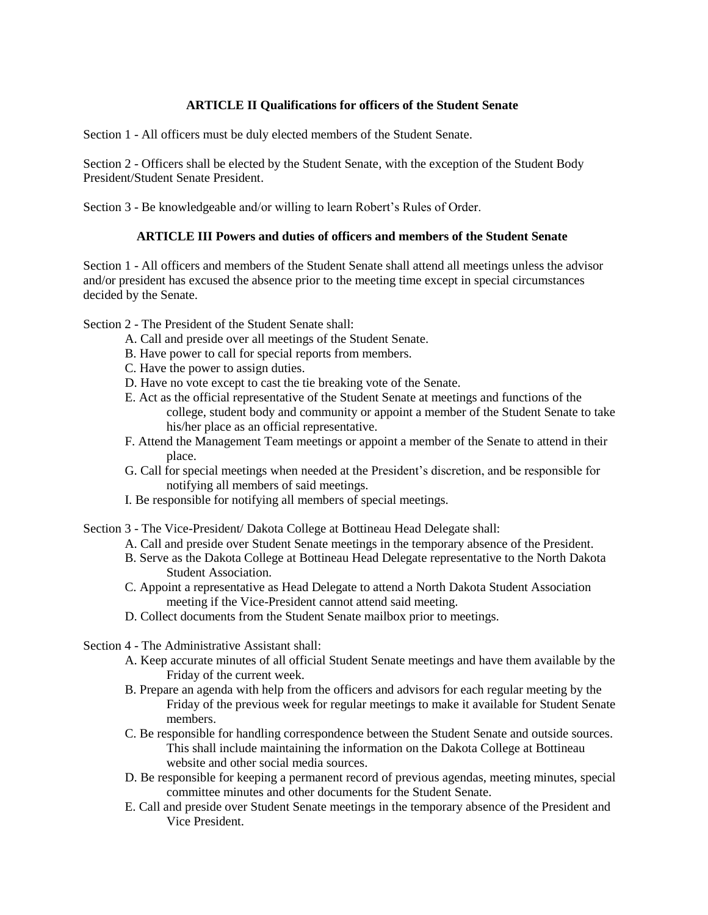# **ARTICLE II Qualifications for officers of the Student Senate**

Section 1 - All officers must be duly elected members of the Student Senate.

Section 2 - Officers shall be elected by the Student Senate, with the exception of the Student Body President/Student Senate President.

Section 3 - Be knowledgeable and/or willing to learn Robert's Rules of Order.

## **ARTICLE III Powers and duties of officers and members of the Student Senate**

Section 1 - All officers and members of the Student Senate shall attend all meetings unless the advisor and/or president has excused the absence prior to the meeting time except in special circumstances decided by the Senate.

Section 2 - The President of the Student Senate shall:

- A. Call and preside over all meetings of the Student Senate.
- B. Have power to call for special reports from members.
- C. Have the power to assign duties.
- D. Have no vote except to cast the tie breaking vote of the Senate.
- E. Act as the official representative of the Student Senate at meetings and functions of the college, student body and community or appoint a member of the Student Senate to take his/her place as an official representative.
- F. Attend the Management Team meetings or appoint a member of the Senate to attend in their place.
- G. Call for special meetings when needed at the President's discretion, and be responsible for notifying all members of said meetings.
- I. Be responsible for notifying all members of special meetings.
- Section 3 The Vice-President/ Dakota College at Bottineau Head Delegate shall:
	- A. Call and preside over Student Senate meetings in the temporary absence of the President.
	- B. Serve as the Dakota College at Bottineau Head Delegate representative to the North Dakota Student Association.
	- C. Appoint a representative as Head Delegate to attend a North Dakota Student Association meeting if the Vice-President cannot attend said meeting.
	- D. Collect documents from the Student Senate mailbox prior to meetings.
- Section 4 The Administrative Assistant shall:
	- A. Keep accurate minutes of all official Student Senate meetings and have them available by the Friday of the current week.
	- B. Prepare an agenda with help from the officers and advisors for each regular meeting by the Friday of the previous week for regular meetings to make it available for Student Senate members.
	- C. Be responsible for handling correspondence between the Student Senate and outside sources. This shall include maintaining the information on the Dakota College at Bottineau website and other social media sources.
	- D. Be responsible for keeping a permanent record of previous agendas, meeting minutes, special committee minutes and other documents for the Student Senate.
	- E. Call and preside over Student Senate meetings in the temporary absence of the President and Vice President.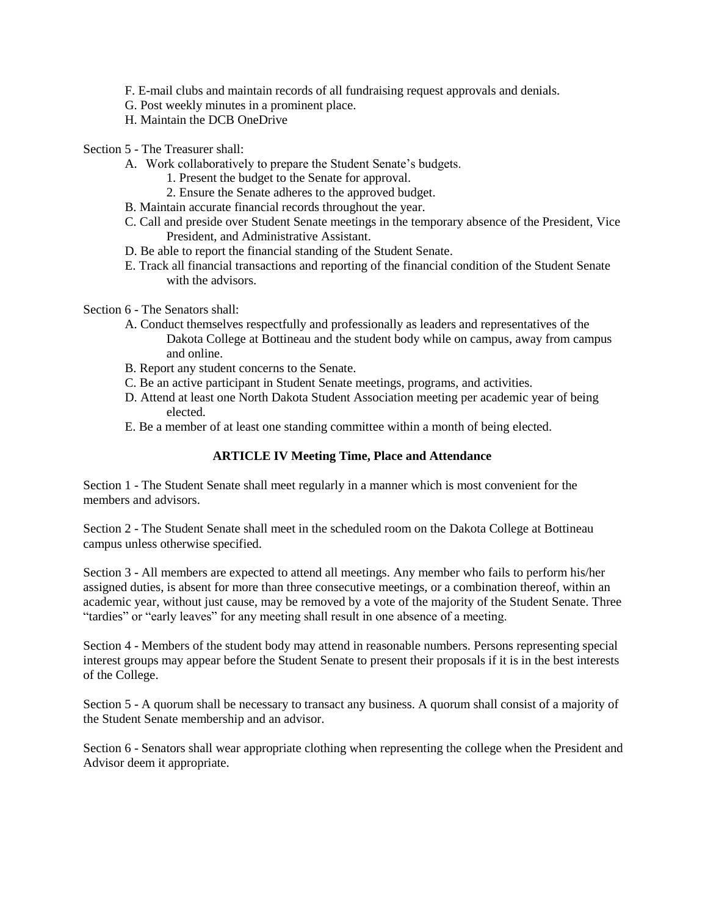- F. E-mail clubs and maintain records of all fundraising request approvals and denials.
- G. Post weekly minutes in a prominent place.
- H. Maintain the DCB OneDrive
- Section 5 The Treasurer shall:
	- A. Work collaboratively to prepare the Student Senate's budgets.
		- 1. Present the budget to the Senate for approval.
		- 2. Ensure the Senate adheres to the approved budget.
	- B. Maintain accurate financial records throughout the year.
	- C. Call and preside over Student Senate meetings in the temporary absence of the President, Vice President, and Administrative Assistant.
	- D. Be able to report the financial standing of the Student Senate.
	- E. Track all financial transactions and reporting of the financial condition of the Student Senate with the advisors.
- Section 6 The Senators shall:
	- A. Conduct themselves respectfully and professionally as leaders and representatives of the Dakota College at Bottineau and the student body while on campus, away from campus and online.
	- B. Report any student concerns to the Senate.
	- C. Be an active participant in Student Senate meetings, programs, and activities.
	- D. Attend at least one North Dakota Student Association meeting per academic year of being elected.
	- E. Be a member of at least one standing committee within a month of being elected.

#### **ARTICLE IV Meeting Time, Place and Attendance**

Section 1 - The Student Senate shall meet regularly in a manner which is most convenient for the members and advisors.

Section 2 - The Student Senate shall meet in the scheduled room on the Dakota College at Bottineau campus unless otherwise specified.

 academic year, without just cause, may be removed by a vote of the majority of the Student Senate. Three Section 3 - All members are expected to attend all meetings. Any member who fails to perform his/her assigned duties, is absent for more than three consecutive meetings, or a combination thereof, within an "tardies" or "early leaves" for any meeting shall result in one absence of a meeting.

 Section 4 - Members of the student body may attend in reasonable numbers. Persons representing special interest groups may appear before the Student Senate to present their proposals if it is in the best interests of the College.

Section 5 - A quorum shall be necessary to transact any business. A quorum shall consist of a majority of the Student Senate membership and an advisor.

Section 6 - Senators shall wear appropriate clothing when representing the college when the President and Advisor deem it appropriate.